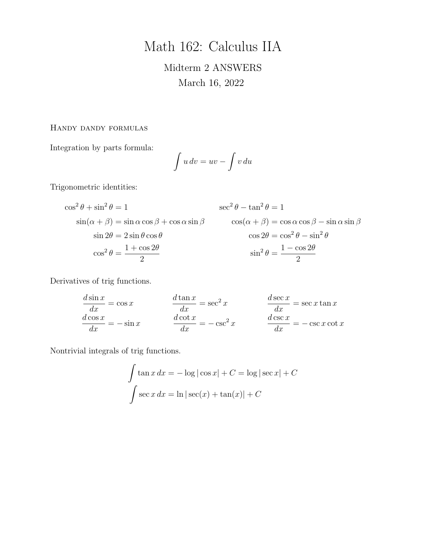# Math 162: Calculus IIA

# Midterm 2 ANSWERS March 16, 2022

# Handy dandy formulas

Integration by parts formula:

$$
\int u\,dv = uv - \int v\,du
$$

Trigonometric identities:

$$
\cos^{2} \theta + \sin^{2} \theta = 1
$$
  
\n
$$
\sin(\alpha + \beta) = \sin \alpha \cos \beta + \cos \alpha \sin \beta
$$
  
\n
$$
\sin 2\theta = 2 \sin \theta \cos \theta
$$
  
\n
$$
\cos^{2} \theta = \frac{1 + \cos 2\theta}{2}
$$
  
\n
$$
\cos^{2} \theta = \frac{1 + \cos 2\theta}{2}
$$
  
\n
$$
\cos^{2} \theta = \frac{1 - \cos 2\theta}{2}
$$

Derivatives of trig functions.

$$
\frac{d \sin x}{dx} = \cos x \qquad \qquad \frac{d \tan x}{dx} = \sec^2 x \qquad \qquad \frac{d \sec x}{dx} = \sec x \tan x
$$

$$
\frac{d \cos x}{dx} = -\sin x \qquad \qquad \frac{d \cot x}{dx} = -\csc^2 x \qquad \qquad \frac{d \csc x}{dx} = -\csc x \cot x
$$

Nontrivial integrals of trig functions.

$$
\int \tan x \, dx = -\log|\cos x| + C = \log|\sec x| + C
$$

$$
\int \sec x \, dx = \ln|\sec(x) + \tan(x)| + C
$$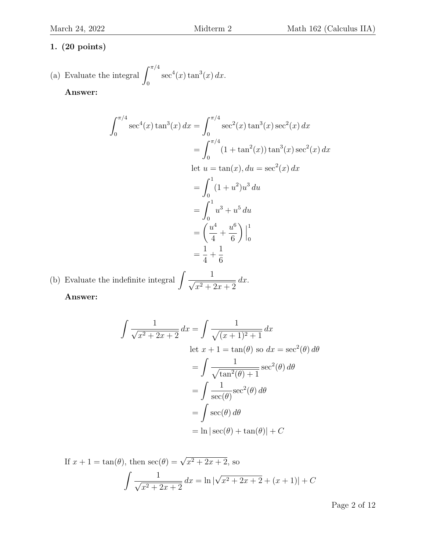(a) Evaluate the integral 
$$
\int_0^{\pi/4} \sec^4(x) \tan^3(x) dx
$$
.  
Answer:

 $\int_0^{\pi/4}$  $\boldsymbol{0}$  $\sec^4(x) \tan^3(x) dx = \int^{\pi/4}$  $\boldsymbol{0}$  $\sec^2(x) \tan^3(x) \sec^2(x) dx$  $=$   $\int^{\pi/4}$ 0  $(1 + \tan^2(x)) \tan^3(x) \sec^2(x) dx$ let  $u = \tan(x)$ ,  $du = \sec^2(x) dx$  $=$   $\int_1^1$ 0  $(1+u^2)u^3 du$  $=$   $\int_1^1$ 0  $u^3 + u^5 du$ =  $\sqrt{u^4}$ 4  $+$  $u^6$ 6  $\Big)\Big|$ 1 0 = 1 4  $+$ 1 6

(b) Evaluate the indefinite integral  $\left(\frac{1}{\sqrt{2}}\right)^{1/2}$  $x^2 + 2x + 2$  $dx$ .

Answer:

$$
\int \frac{1}{\sqrt{x^2 + 2x + 2}} dx = \int \frac{1}{\sqrt{(x+1)^2 + 1}} dx
$$
  
let  $x + 1 = \tan(\theta)$  so  $dx = \sec^2(\theta) d\theta$   

$$
= \int \frac{1}{\sqrt{\tan^2(\theta) + 1}} \sec^2(\theta) d\theta
$$
  

$$
= \int \frac{1}{\sec(\theta)} \sec^2(\theta) d\theta
$$
  

$$
= \int \sec(\theta) d\theta
$$
  

$$
= \ln |\sec(\theta) + \tan(\theta)| + C
$$

If 
$$
x + 1 = \tan(\theta)
$$
, then  $\sec(\theta) = \sqrt{x^2 + 2x + 2}$ , so  
\n
$$
\int \frac{1}{\sqrt{x^2 + 2x + 2}} dx = \ln|\sqrt{x^2 + 2x + 2} + (x + 1)| + C
$$

Page 2 of 12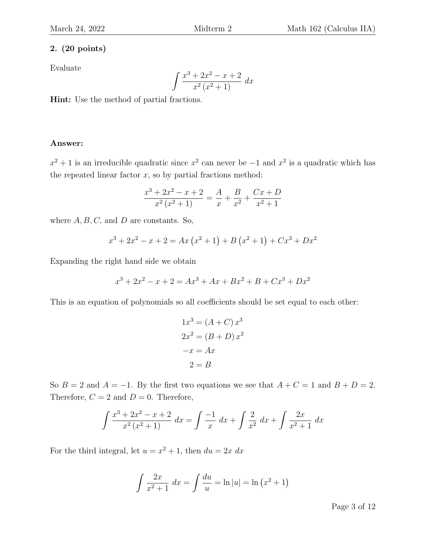Evaluate

$$
\int \frac{x^3 + 2x^2 - x + 2}{x^2 (x^2 + 1)} dx
$$

Hint: Use the method of partial fractions.

### Answer:

 $x^2 + 1$  is an irreducible quadratic since  $x^2$  can never be  $-1$  and  $x^2$  is a quadratic which has the repeated linear factor  $x$ , so by partial fractions method:

$$
\frac{x^3 + 2x^2 - x + 2}{x^2 (x^2 + 1)} = \frac{A}{x} + \frac{B}{x^2} + \frac{Cx + D}{x^2 + 1}
$$

where  $A, B, C$ , and  $D$  are constants. So,

$$
x^{3} + 2x^{2} - x + 2 = Ax(x^{2} + 1) + B(x^{2} + 1) + Cx^{3} + Dx^{2}
$$

Expanding the right hand side we obtain

$$
x^3 + 2x^2 - x + 2 = Ax^3 + Ax + Bx^2 + B + Cx^3 + Dx^2
$$

This is an equation of polynomials so all coefficients should be set equal to each other:

$$
1x3 = (A + C) x3
$$
  

$$
2x2 = (B + D) x2
$$
  

$$
-x = Ax
$$
  

$$
2 = B
$$

So  $B = 2$  and  $A = -1$ . By the first two equations we see that  $A + C = 1$  and  $B + D = 2$ . Therefore,  $C = 2$  and  $D = 0$ . Therefore,

$$
\int \frac{x^3 + 2x^2 - x + 2}{x^2 (x^2 + 1)} dx = \int \frac{-1}{x} dx + \int \frac{2}{x^2} dx + \int \frac{2x}{x^2 + 1} dx
$$

For the third integral, let  $u = x^2 + 1$ , then  $du = 2x dx$ 

$$
\int \frac{2x}{x^2 + 1} \, dx = \int \frac{du}{u} = \ln|u| = \ln(x^2 + 1)
$$

Page 3 of 12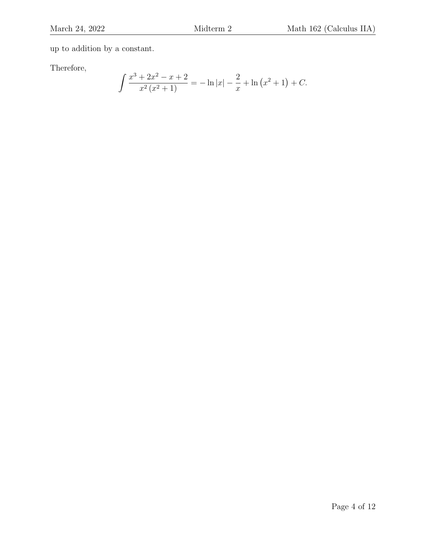up to addition by a constant.

Therefore,

$$
\int \frac{x^3 + 2x^2 - x + 2}{x^2 (x^2 + 1)} = -\ln|x| - \frac{2}{x} + \ln(x^2 + 1) + C.
$$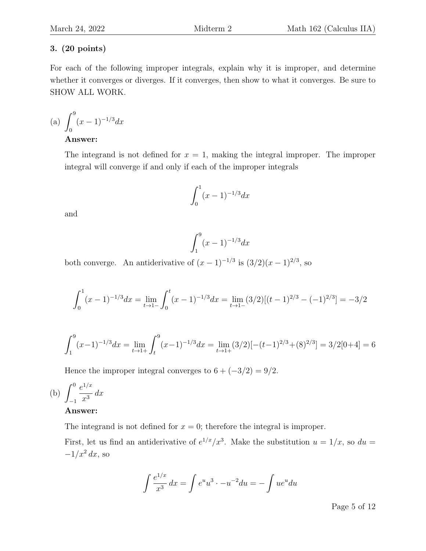For each of the following improper integrals, explain why it is improper, and determine whether it converges or diverges. If it converges, then show to what it converges. Be sure to SHOW ALL WORK.

(a) 
$$
\int_0^9 (x-1)^{-1/3} dx
$$

# Answer:

The integrand is not defined for  $x = 1$ , making the integral improper. The improper integral will converge if and only if each of the improper integrals

$$
\int_0^1 (x-1)^{-1/3} dx
$$

and

$$
\int_{1}^{9} (x-1)^{-1/3} dx
$$

both converge. An antiderivative of  $(x-1)^{-1/3}$  is  $(3/2)(x-1)^{2/3}$ , so

$$
\int_0^1 (x-1)^{-1/3} dx = \lim_{t \to 1^-} \int_0^t (x-1)^{-1/3} dx = \lim_{t \to 1^-} (3/2)[(t-1)^{2/3} - (-1)^{2/3}] = -3/2
$$

$$
\int_{1}^{9} (x-1)^{-1/3} dx = \lim_{t \to 1+} \int_{t}^{9} (x-1)^{-1/3} dx = \lim_{t \to 1+} (3/2) [-(t-1)^{2/3} + (8)^{2/3}] = 3/2[0+4] = 6
$$

Hence the improper integral converges to  $6 + (-3/2) = 9/2$ .

(b) 
$$
\int_{-1}^{0} \frac{e^{1/x}}{x^3} dx
$$

### Answer:

The integrand is not defined for  $x = 0$ ; therefore the integral is improper.

First, let us find an antiderivative of  $e^{1/x}/x^3$ . Make the substitution  $u = 1/x$ , so  $du =$  $-1/x^2 dx$ , so

$$
\int \frac{e^{1/x}}{x^3} dx = \int e^u u^3 \cdot -u^{-2} du = -\int u e^u du
$$

Page 5 of 12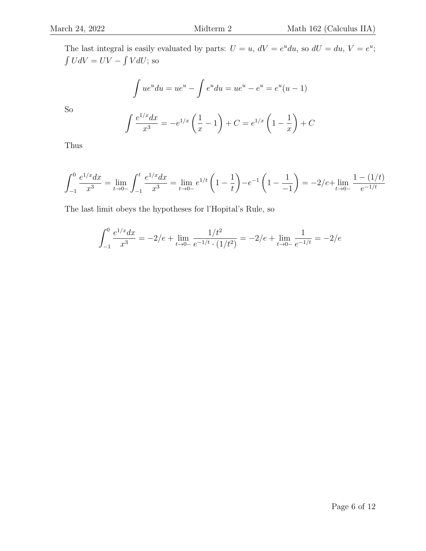The last integral is easily evaluated by parts:  $U = u$ ,  $dV = e^u du$ , so  $dU = du$ ,  $V = e^u$ ;  $\int U dV = UV - \int V dU$ ; so

$$
\int ue^{u} du = ue^{u} - \int e^{u} du = ue^{u} - e^{u} = e^{u}(u - 1)
$$

So

$$
\int \frac{e^{1/x} dx}{x^3} = -e^{1/x} \left( \frac{1}{x} - 1 \right) + C = e^{1/x} \left( 1 - \frac{1}{x} \right) + C
$$

Thus

$$
\int_{-1}^{0} \frac{e^{1/x} dx}{x^3} = \lim_{t \to 0^-} \int_{-1}^{t} \frac{e^{1/x} dx}{x^3} = \lim_{t \to 0^-} e^{1/t} \left(1 - \frac{1}{t}\right) - e^{-1} \left(1 - \frac{1}{-1}\right) = -2/e + \lim_{t \to 0^-} \frac{1 - (1/t)}{e^{-1/t}}
$$

The last limit obeys the hypotheses for l'Hopital's Rule, so

$$
\int_{-1}^{0} \frac{e^{1/x} dx}{x^3} = -2/e + \lim_{t \to 0-} \frac{1/t^2}{e^{-1/t} \cdot (1/t^2)} = -2/e + \lim_{t \to 0-} \frac{1}{e^{-1/t}} = -2/e
$$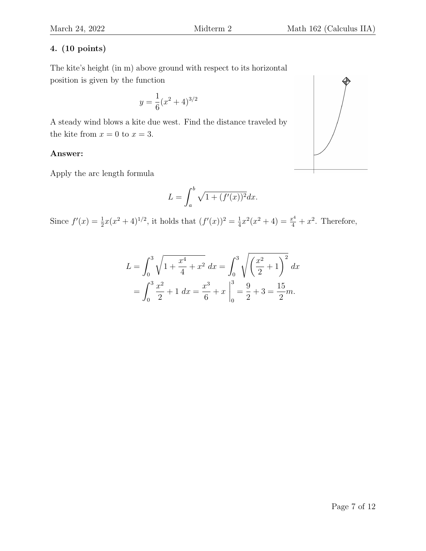The kite's height (in m) above ground with respect to its horizontal position is given by the function

$$
y = \frac{1}{6}(x^2 + 4)^{3/2}
$$

A steady wind blows a kite due west. Find the distance traveled by the kite from  $x = 0$  to  $x = 3$ .

# Answer:

Apply the arc length formula

$$
L = \int_a^b \sqrt{1 + (f'(x))^2} dx.
$$

Since  $f'(x) = \frac{1}{2}x(x^2+4)^{1/2}$ , it holds that  $(f'(x))^2 = \frac{1}{4}$  $\frac{1}{4}x^2(x^2+4) = \frac{x^4}{4} + x^2$ . Therefore,

$$
L = \int_0^3 \sqrt{1 + \frac{x^4}{4} + x^2} \, dx = \int_0^3 \sqrt{\left(\frac{x^2}{2} + 1\right)^2} \, dx
$$
  
= 
$$
\int_0^3 \frac{x^2}{2} + 1 \, dx = \frac{x^3}{6} + x \Big|_0^3 = \frac{9}{2} + 3 = \frac{15}{2}m.
$$

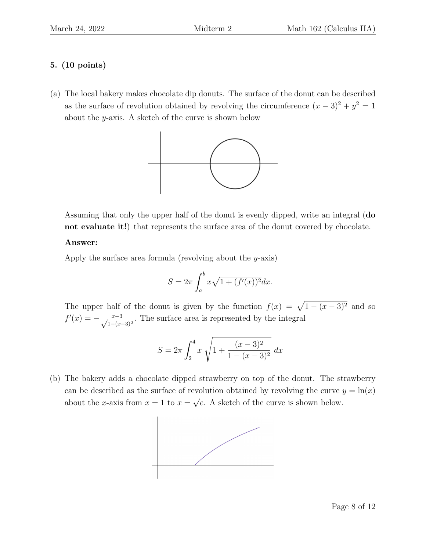(a) The local bakery makes chocolate dip donuts. The surface of the donut can be described as the surface of revolution obtained by revolving the circumference  $(x-3)^2 + y^2 = 1$ about the y-axis. A sketch of the curve is shown below



Assuming that only the upper half of the donut is evenly dipped, write an integral (do not evaluate it!) that represents the surface area of the donut covered by chocolate.

# Answer:

Apply the surface area formula (revolving about the y-axis)

$$
S = 2\pi \int_{a}^{b} x\sqrt{1 + (f'(x))^{2}} dx.
$$

The upper half of the donut is given by the function  $f(x) = \sqrt{1 - (x - 3)^2}$  and so  $f'(x) = -\frac{x-3}{\sqrt{1-(x-3)^2}}$ . The surface area is represented by the integral

$$
S = 2\pi \int_2^4 x \sqrt{1 + \frac{(x-3)^2}{1 - (x-3)^2}} dx
$$

(b) The bakery adds a chocolate dipped strawberry on top of the donut. The strawberry can be described as the surface of revolution obtained by revolving the curve  $y = \ln(x)$ about the x-axis from  $x = 1$  to  $x =$ √  $\overline{e}$ . A sketch of the curve is shown below.

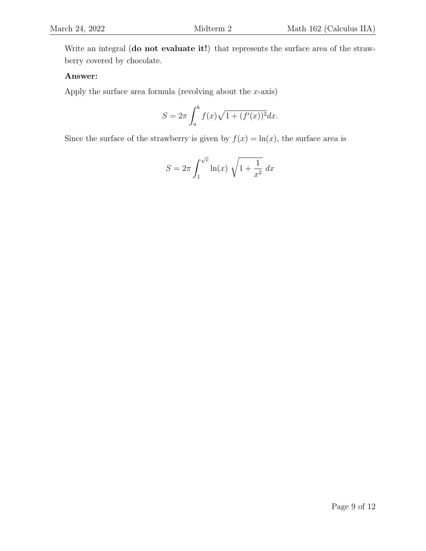Write an integral (do not evaluate it!) that represents the surface area of the strawberry covered by chocolate.

# Answer:

Apply the surface area formula (revolving about the  $x$ -axis)

$$
S = 2\pi \int_{a}^{b} f(x)\sqrt{1 + (f'(x))^{2}} dx.
$$

Since the surface of the strawberry is given by  $f(x) = \ln(x)$ , the surface area is

$$
S = 2\pi \int_1^{\sqrt{e}} \ln(x) \sqrt{1 + \frac{1}{x^2}} dx
$$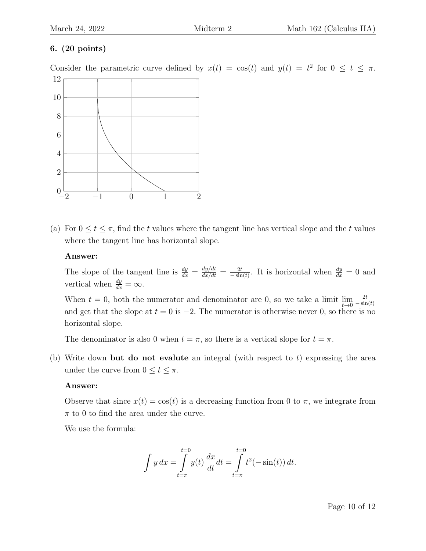Consider the parametric curve defined by  $x(t) = \cos(t)$  and  $y(t) = t^2$  for  $0 \le t \le \pi$ .



(a) For  $0 \le t \le \pi$ , find the t values where the tangent line has vertical slope and the t values where the tangent line has horizontal slope.

### Answer:

The slope of the tangent line is  $\frac{dy}{dx} = \frac{dy/dt}{dx/dt} = \frac{2t}{-\sinh}$  $\frac{2t}{-\sin(t)}$ . It is horizontal when  $\frac{dy}{dx} = 0$  and vertical when  $\frac{dy}{dx} = \infty$ .

When  $t = 0$ , both the numerator and denominator are 0, so we take a limit  $\lim_{t \to 0} \frac{2t}{-\sin t}$  $-\sin(t)$ and get that the slope at  $t = 0$  is  $-2$ . The numerator is otherwise never 0, so there is no horizontal slope.

The denominator is also 0 when  $t = \pi$ , so there is a vertical slope for  $t = \pi$ .

(b) Write down but do not evalute an integral (with respect to  $t$ ) expressing the area under the curve from  $0 \le t \le \pi$ .

# Answer:

Observe that since  $x(t) = \cos(t)$  is a decreasing function from 0 to  $\pi$ , we integrate from  $\pi$  to 0 to find the area under the curve.

We use the formula:

$$
\int y \, dx = \int_{t=\pi}^{t=0} y(t) \, \frac{dx}{dt} dt = \int_{t=\pi}^{t=0} t^2 (-\sin(t)) \, dt.
$$

Page 10 of 12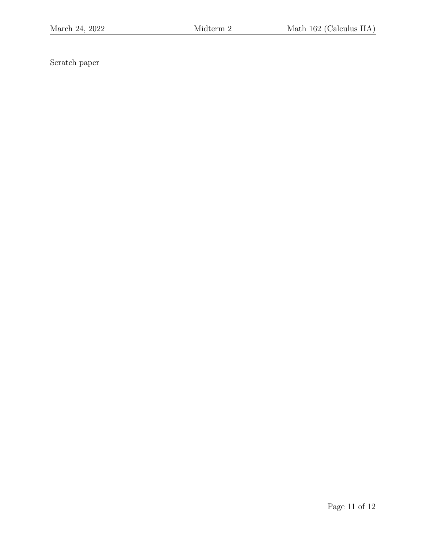Scratch paper